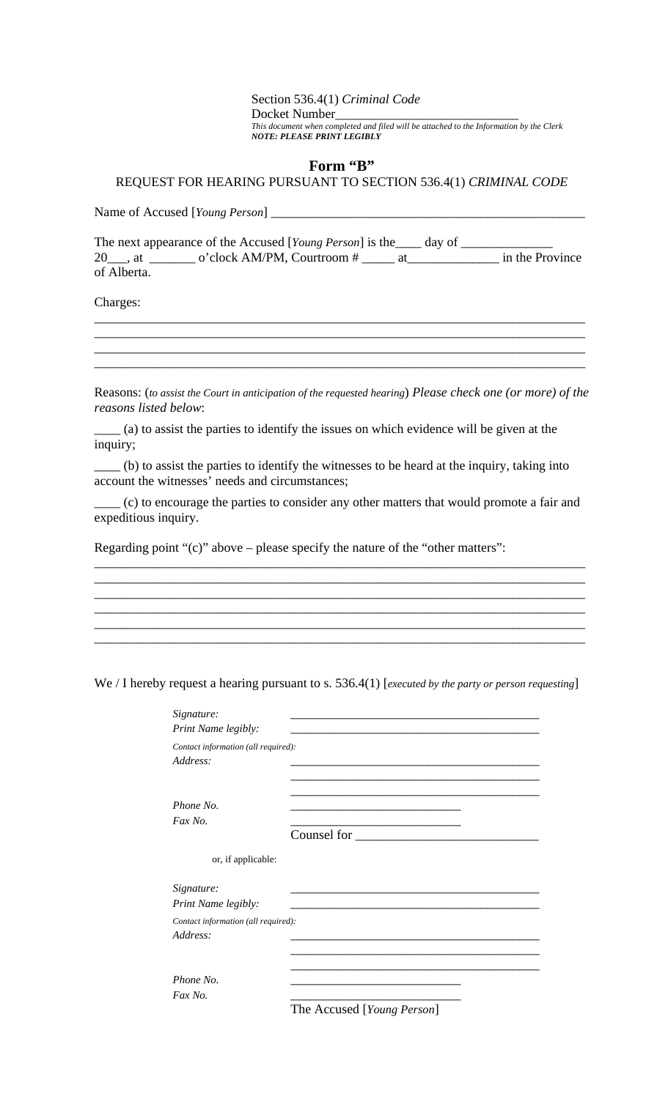## Section 536.4(1) *Criminal Code* Docket Number\_\_\_\_\_\_\_\_\_\_\_\_\_\_\_\_\_\_\_\_\_\_\_\_\_\_\_\_ *This document when completed and filed will be attached to the Information by the Clerk NOTE: PLEASE PRINT LEGIBLY*

## **Form "B"**

## REQUEST FOR HEARING PURSUANT TO SECTION 536.4(1) *CRIMINAL CODE*

| Name of Accused [Young Person] |  |
|--------------------------------|--|
|--------------------------------|--|

|             | The next appearance of the Accused [Young Person] is the _____ day of |  |                 |
|-------------|-----------------------------------------------------------------------|--|-----------------|
| 20 . at     | o'clock AM/PM, Courtroom #                                            |  | in the Province |
| of Alberta. |                                                                       |  |                 |

\_\_\_\_\_\_\_\_\_\_\_\_\_\_\_\_\_\_\_\_\_\_\_\_\_\_\_\_\_\_\_\_\_\_\_\_\_\_\_\_\_\_\_\_\_\_\_\_\_\_\_\_\_\_\_\_\_\_\_\_\_\_\_\_\_\_\_\_\_\_\_\_\_\_\_ \_\_\_\_\_\_\_\_\_\_\_\_\_\_\_\_\_\_\_\_\_\_\_\_\_\_\_\_\_\_\_\_\_\_\_\_\_\_\_\_\_\_\_\_\_\_\_\_\_\_\_\_\_\_\_\_\_\_\_\_\_\_\_\_\_\_\_\_\_\_\_\_\_\_\_ \_\_\_\_\_\_\_\_\_\_\_\_\_\_\_\_\_\_\_\_\_\_\_\_\_\_\_\_\_\_\_\_\_\_\_\_\_\_\_\_\_\_\_\_\_\_\_\_\_\_\_\_\_\_\_\_\_\_\_\_\_\_\_\_\_\_\_\_\_\_\_\_\_\_\_ \_\_\_\_\_\_\_\_\_\_\_\_\_\_\_\_\_\_\_\_\_\_\_\_\_\_\_\_\_\_\_\_\_\_\_\_\_\_\_\_\_\_\_\_\_\_\_\_\_\_\_\_\_\_\_\_\_\_\_\_\_\_\_\_\_\_\_\_\_\_\_\_\_\_\_

Charges:

Reasons: (*to assist the Court in anticipation of the requested hearing*) *Please check one (or more) of the reasons listed below*:

\_\_\_\_ (a) to assist the parties to identify the issues on which evidence will be given at the inquiry;

\_\_\_\_ (b) to assist the parties to identify the witnesses to be heard at the inquiry, taking into account the witnesses' needs and circumstances;

\_\_\_\_ (c) to encourage the parties to consider any other matters that would promote a fair and expeditious inquiry.

\_\_\_\_\_\_\_\_\_\_\_\_\_\_\_\_\_\_\_\_\_\_\_\_\_\_\_\_\_\_\_\_\_\_\_\_\_\_\_\_\_\_\_\_\_\_\_\_\_\_\_\_\_\_\_\_\_\_\_\_\_\_\_\_\_\_\_\_\_\_\_\_\_\_\_ \_\_\_\_\_\_\_\_\_\_\_\_\_\_\_\_\_\_\_\_\_\_\_\_\_\_\_\_\_\_\_\_\_\_\_\_\_\_\_\_\_\_\_\_\_\_\_\_\_\_\_\_\_\_\_\_\_\_\_\_\_\_\_\_\_\_\_\_\_\_\_\_\_\_\_ \_\_\_\_\_\_\_\_\_\_\_\_\_\_\_\_\_\_\_\_\_\_\_\_\_\_\_\_\_\_\_\_\_\_\_\_\_\_\_\_\_\_\_\_\_\_\_\_\_\_\_\_\_\_\_\_\_\_\_\_\_\_\_\_\_\_\_\_\_\_\_\_\_\_\_ \_\_\_\_\_\_\_\_\_\_\_\_\_\_\_\_\_\_\_\_\_\_\_\_\_\_\_\_\_\_\_\_\_\_\_\_\_\_\_\_\_\_\_\_\_\_\_\_\_\_\_\_\_\_\_\_\_\_\_\_\_\_\_\_\_\_\_\_\_\_\_\_\_\_\_ \_\_\_\_\_\_\_\_\_\_\_\_\_\_\_\_\_\_\_\_\_\_\_\_\_\_\_\_\_\_\_\_\_\_\_\_\_\_\_\_\_\_\_\_\_\_\_\_\_\_\_\_\_\_\_\_\_\_\_\_\_\_\_\_\_\_\_\_\_\_\_\_\_\_\_ \_\_\_\_\_\_\_\_\_\_\_\_\_\_\_\_\_\_\_\_\_\_\_\_\_\_\_\_\_\_\_\_\_\_\_\_\_\_\_\_\_\_\_\_\_\_\_\_\_\_\_\_\_\_\_\_\_\_\_\_\_\_\_\_\_\_\_\_\_\_\_\_\_\_\_

Regarding point "(c)" above – please specify the nature of the "other matters":

We / I hereby request a hearing pursuant to s. 536.4(1) [*executed by the party or person requesting*]

| Signature:                                      |                                                                                      |
|-------------------------------------------------|--------------------------------------------------------------------------------------|
| Print Name legibly:                             |                                                                                      |
| Contact information (all required):<br>Address: |                                                                                      |
| Phone No.<br>Fax No.                            | Counsel for                                                                          |
| or, if applicable:                              |                                                                                      |
| Signature:<br>Print Name legibly:               |                                                                                      |
| Contact information (all required):<br>Address: |                                                                                      |
| Phone No.<br>Fax No.                            | $\mathbf{Th} \circ \Lambda$ caused $\mathbf{F} \mathbf{V}$ $\mathbf{D}$ $\mathbf{I}$ |

The Accused [*Young Person*]